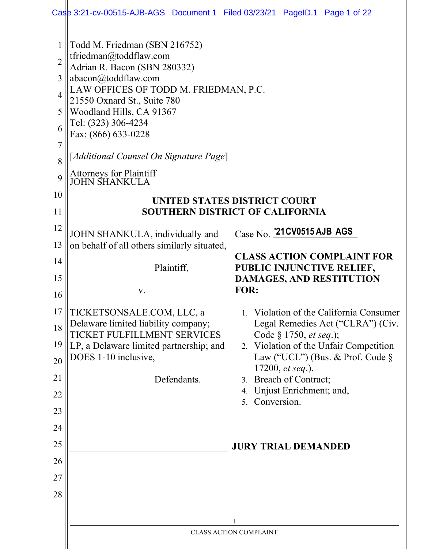| $\overline{2}$<br>3<br>4<br>5<br>6<br>$\overline{7}$<br>8<br>9<br>10<br>11<br>12<br>13<br>14<br>15<br>16 | Todd M. Friedman (SBN 216752)<br>tfriedman@toddflaw.com<br>Adrian R. Bacon (SBN 280332)<br>abacon@toddflaw.com<br>LAW OFFICES OF TODD M. FRIEDMAN, P.C.<br>21550 Oxnard St., Suite 780<br>Woodland Hills, CA 91367<br>Tel: (323) 306-4234<br>Fax: (866) 633-0228<br>[Additional Counsel On Signature Page]<br>Attorneys for Plaintiff<br>JOHN SHANKULA<br>JOHN SHANKULA, individually and<br>on behalf of all others similarly situated,<br>Plaintiff,<br>V. | UNITED STATES DISTRICT COURT<br><b>SOUTHERN DISTRICT OF CALIFORNIA</b><br>Case No. 21 CV0515 AJB AGS<br><b>CLASS ACTION COMPLAINT FOR</b><br>PUBLIC INJUNCTIVE RELIEF,<br><b>DAMAGES, AND RESTITUTION</b><br>FOR:                                                                                                         |
|----------------------------------------------------------------------------------------------------------|--------------------------------------------------------------------------------------------------------------------------------------------------------------------------------------------------------------------------------------------------------------------------------------------------------------------------------------------------------------------------------------------------------------------------------------------------------------|---------------------------------------------------------------------------------------------------------------------------------------------------------------------------------------------------------------------------------------------------------------------------------------------------------------------------|
| 17<br>18<br>19<br>20<br>21<br>22<br>23<br>24<br>25<br>26<br>27<br>28                                     | TICKETSONSALE.COM, LLC, a<br>Delaware limited liability company;<br>TICKET FULFILLMENT SERVICES<br>LP, a Delaware limited partnership; and<br>DOES 1-10 inclusive,<br>Defendants.                                                                                                                                                                                                                                                                            | 1. Violation of the California Consumer<br>Legal Remedies Act ("CLRA") (Civ.<br>Code § 1750, et seq.);<br>2. Violation of the Unfair Competition<br>Law ("UCL") (Bus. & Prof. Code $\S$<br>17200, et seq.).<br>3. Breach of Contract;<br>Unjust Enrichment; and,<br>4.<br>Conversion.<br>5.<br><b>JURY TRIAL DEMANDED</b> |
|                                                                                                          |                                                                                                                                                                                                                                                                                                                                                                                                                                                              | <b>CLASS ACTION COMPLAINT</b>                                                                                                                                                                                                                                                                                             |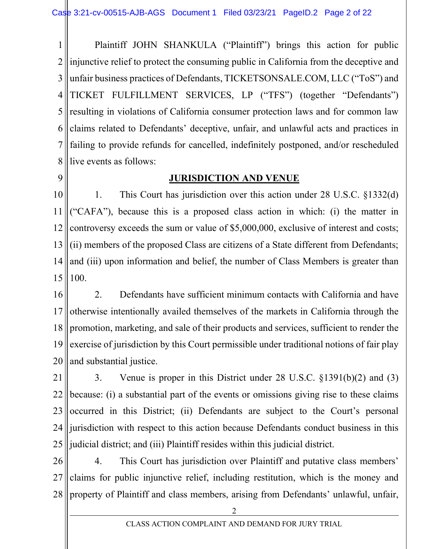1 2 3 4 5 6 7 8 Plaintiff JOHN SHANKULA ("Plaintiff") brings this action for public injunctive relief to protect the consuming public in California from the deceptive and unfair business practices of Defendants, TICKETSONSALE.COM, LLC ("ToS") and TICKET FULFILLMENT SERVICES, LP ("TFS") (together "Defendants") resulting in violations of California consumer protection laws and for common law claims related to Defendants' deceptive, unfair, and unlawful acts and practices in failing to provide refunds for cancelled, indefinitely postponed, and/or rescheduled live events as follows:

9

### **JURISDICTION AND VENUE**

10 11 12 13 14 15 1. This Court has jurisdiction over this action under 28 U.S.C. §1332(d) ("CAFA"), because this is a proposed class action in which: (i) the matter in controversy exceeds the sum or value of \$5,000,000, exclusive of interest and costs; (ii) members of the proposed Class are citizens of a State different from Defendants; and (iii) upon information and belief, the number of Class Members is greater than 100.

16 17 18 19 20 2. Defendants have sufficient minimum contacts with California and have otherwise intentionally availed themselves of the markets in California through the promotion, marketing, and sale of their products and services, sufficient to render the exercise of jurisdiction by this Court permissible under traditional notions of fair play and substantial justice.

21 22 23 24 25 3. Venue is proper in this District under 28 U.S.C. §1391(b)(2) and (3) because: (i) a substantial part of the events or omissions giving rise to these claims occurred in this District; (ii) Defendants are subject to the Court's personal jurisdiction with respect to this action because Defendants conduct business in this judicial district; and (iii) Plaintiff resides within this judicial district.

26 27 28 4. This Court has jurisdiction over Plaintiff and putative class members' claims for public injunctive relief, including restitution, which is the money and property of Plaintiff and class members, arising from Defendants' unlawful, unfair,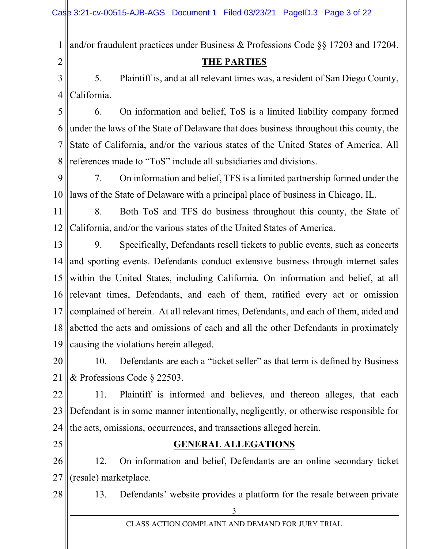1 and/or fraudulent practices under Business & Professions Code §§ 17203 and 17204.

# THE PARTIES

3 4 5. Plaintiff is, and at all relevant times was, a resident of San Diego County, California.

5 6 7 8 6. On information and belief, ToS is a limited liability company formed under the laws of the State of Delaware that does business throughout this county, the State of California, and/or the various states of the United States of America. All references made to "ToS" include all subsidiaries and divisions.

9 10 7. On information and belief, TFS is a limited partnership formed under the laws of the State of Delaware with a principal place of business in Chicago, IL.

11 12 8. Both ToS and TFS do business throughout this county, the State of California, and/or the various states of the United States of America.

13 14 15 16 17 18 19 9. Specifically, Defendants resell tickets to public events, such as concerts and sporting events. Defendants conduct extensive business through internet sales within the United States, including California. On information and belief, at all relevant times, Defendants, and each of them, ratified every act or omission complained of herein. At all relevant times, Defendants, and each of them, aided and abetted the acts and omissions of each and all the other Defendants in proximately causing the violations herein alleged.

20 21 10. Defendants are each a "ticket seller" as that term is defined by Business & Professions Code § 22503.

22 23 24 11. Plaintiff is informed and believes, and thereon alleges, that each Defendant is in some manner intentionally, negligently, or otherwise responsible for the acts, omissions, occurrences, and transactions alleged herein.

25

2

# GENERAL ALLEGATIONS

26 27 12. On information and belief, Defendants are an online secondary ticket (resale) marketplace.

28

13. Defendants' website provides a platform for the resale between private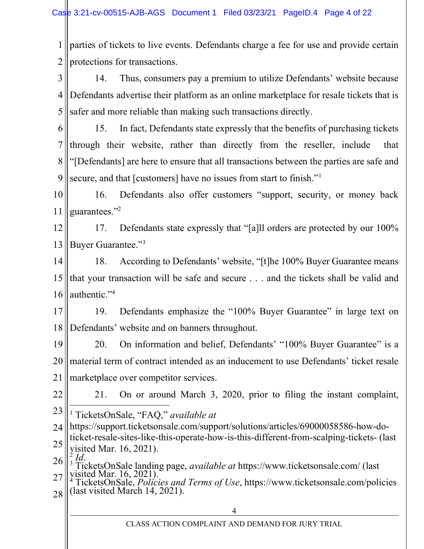1 2 parties of tickets to live events. Defendants charge a fee for use and provide certain protections for transactions.

3 4 5 14. Thus, consumers pay a premium to utilize Defendants' website because Defendants advertise their platform as an online marketplace for resale tickets that is safer and more reliable than making such transactions directly.

6 7 8 9 15. In fact, Defendants state expressly that the benefits of purchasing tickets through their website, rather than directly from the reseller, include that "[Defendants] are here to ensure that all transactions between the parties are safe and secure, and that [customers] have no issues from start to finish."<sup>1</sup>

10 11 16. Defendants also offer customers "support, security, or money back guarantees."<sup>2</sup>

12 13 17. Defendants state expressly that "[a]ll orders are protected by our 100% Buyer Guarantee."<sup>3</sup>

14 15 16 18. According to Defendants' website, "[t]he 100% Buyer Guarantee means that your transaction will be safe and secure . . . and the tickets shall be valid and authentic."<sup>4</sup>

17 18 19. Defendants emphasize the "100% Buyer Guarantee" in large text on Defendants' website and on banners throughout.

19 20 21 20. On information and belief, Defendants' "100% Buyer Guarantee" is a material term of contract intended as an inducement to use Defendants' ticket resale marketplace over competitor services.

22

21. On or around March 3, 2020, prior to filing the instant complaint,

23 <sup>1</sup> TicketsOnSale, "FAQ," available at

24 https://support.ticketsonsale.com/support/solutions/articles/69000058586-how-do-

25 ticket-resale-sites-like-this-operate-how-is-this-different-from-scalping-tickets- (last visited Mar. 16, 2021). 2 Id.

26 27 3 TicketsOnSale landing page, available at https://www.ticketsonsale.com/ (last visited Mar.  $16, 2021$ .

28 TicketsOnSale, Policies and Terms of Use, https://www.ticketsonsale.com/policies (last visited March 14, 2021).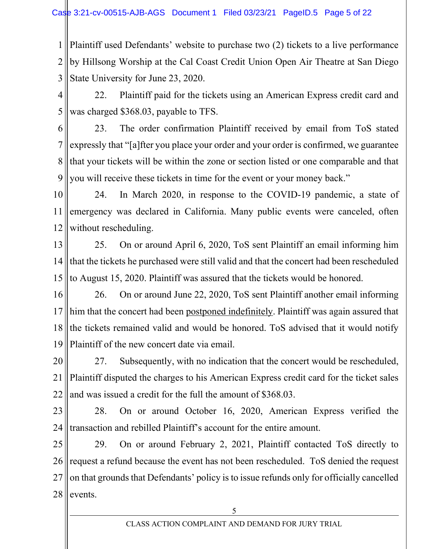1 2 3 Plaintiff used Defendants' website to purchase two (2) tickets to a live performance by Hillsong Worship at the Cal Coast Credit Union Open Air Theatre at San Diego State University for June 23, 2020.

4 5 22. Plaintiff paid for the tickets using an American Express credit card and was charged \$368.03, payable to TFS.

6 7 8 9 23. The order confirmation Plaintiff received by email from ToS stated expressly that "[a]fter you place your order and your order is confirmed, we guarantee that your tickets will be within the zone or section listed or one comparable and that you will receive these tickets in time for the event or your money back."

10 11 12 24. In March 2020, in response to the COVID-19 pandemic, a state of emergency was declared in California. Many public events were canceled, often without rescheduling.

13 14 15 25. On or around April 6, 2020, ToS sent Plaintiff an email informing him that the tickets he purchased were still valid and that the concert had been rescheduled to August 15, 2020. Plaintiff was assured that the tickets would be honored.

16 17 18 19 26. On or around June 22, 2020, ToS sent Plaintiff another email informing him that the concert had been postponed indefinitely. Plaintiff was again assured that the tickets remained valid and would be honored. ToS advised that it would notify Plaintiff of the new concert date via email.

20 21 22 27. Subsequently, with no indication that the concert would be rescheduled, Plaintiff disputed the charges to his American Express credit card for the ticket sales and was issued a credit for the full the amount of \$368.03.

23 24 28. On or around October 16, 2020, American Express verified the transaction and rebilled Plaintiff's account for the entire amount.

25 26 27 28 29. On or around February 2, 2021, Plaintiff contacted ToS directly to request a refund because the event has not been rescheduled. ToS denied the request on that grounds that Defendants' policy is to issue refunds only for officially cancelled events.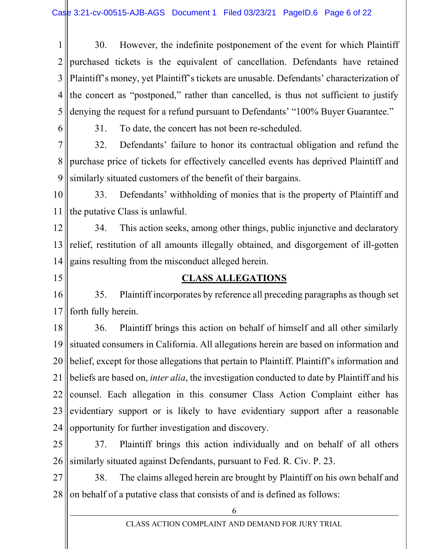1 2 3 4 5 30. However, the indefinite postponement of the event for which Plaintiff purchased tickets is the equivalent of cancellation. Defendants have retained Plaintiff's money, yet Plaintiff's tickets are unusable. Defendants' characterization of the concert as "postponed," rather than cancelled, is thus not sufficient to justify denying the request for a refund pursuant to Defendants' "100% Buyer Guarantee."

6

31. To date, the concert has not been re-scheduled.

7 8 9 32. Defendants' failure to honor its contractual obligation and refund the purchase price of tickets for effectively cancelled events has deprived Plaintiff and similarly situated customers of the benefit of their bargains.

10 11 33. Defendants' withholding of monies that is the property of Plaintiff and the putative Class is unlawful.

12 13 14 34. This action seeks, among other things, public injunctive and declaratory relief, restitution of all amounts illegally obtained, and disgorgement of ill-gotten gains resulting from the misconduct alleged herein.

15

### CLASS ALLEGATIONS

16 17 35. Plaintiff incorporates by reference all preceding paragraphs as though set forth fully herein.

18 19 20 21 22 23 24 36. Plaintiff brings this action on behalf of himself and all other similarly situated consumers in California. All allegations herein are based on information and belief, except for those allegations that pertain to Plaintiff. Plaintiff's information and beliefs are based on, inter alia, the investigation conducted to date by Plaintiff and his counsel. Each allegation in this consumer Class Action Complaint either has evidentiary support or is likely to have evidentiary support after a reasonable opportunity for further investigation and discovery.

25 26 37. Plaintiff brings this action individually and on behalf of all others similarly situated against Defendants, pursuant to Fed. R. Civ. P. 23.

27 28 38. The claims alleged herein are brought by Plaintiff on his own behalf and on behalf of a putative class that consists of and is defined as follows: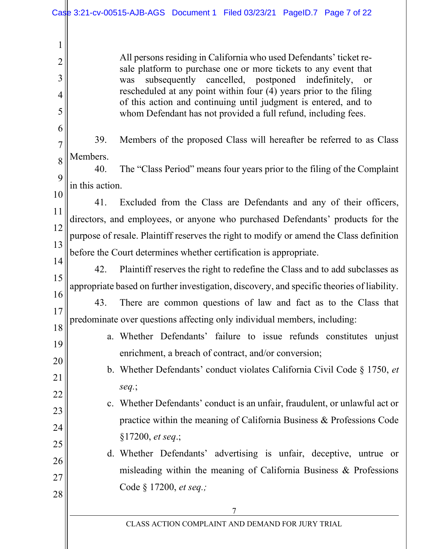1

2

3

4

5

6

19

21

23

24

25

26

27

28

All persons residing in California who used Defendants' ticket resale platform to purchase one or more tickets to any event that was subsequently cancelled, postponed indefinitely, or rescheduled at any point within four (4) years prior to the filing of this action and continuing until judgment is entered, and to whom Defendant has not provided a full refund, including fees.

7 8 39. Members of the proposed Class will hereafter be referred to as Class Members.

9 40. The "Class Period" means four years prior to the filing of the Complaint in this action.

10 11 12 13 41. Excluded from the Class are Defendants and any of their officers, directors, and employees, or anyone who purchased Defendants' products for the purpose of resale. Plaintiff reserves the right to modify or amend the Class definition before the Court determines whether certification is appropriate.

14 15 16 42. Plaintiff reserves the right to redefine the Class and to add subclasses as appropriate based on further investigation, discovery, and specific theories of liability.

17 18 43. There are common questions of law and fact as to the Class that predominate over questions affecting only individual members, including:

- a. Whether Defendants' failure to issue refunds constitutes unjust enrichment, a breach of contract, and/or conversion;
- 20 22 b. Whether Defendants' conduct violates California Civil Code § 1750, et seq.;
	- c. Whether Defendants' conduct is an unfair, fraudulent, or unlawful act or practice within the meaning of California Business & Professions Code §17200, et seq.;
	- d. Whether Defendants' advertising is unfair, deceptive, untrue or misleading within the meaning of California Business & Professions Code § 17200, et seq.;

CLASS ACTION COMPLAINT AND DEMAND FOR JURY TRIAL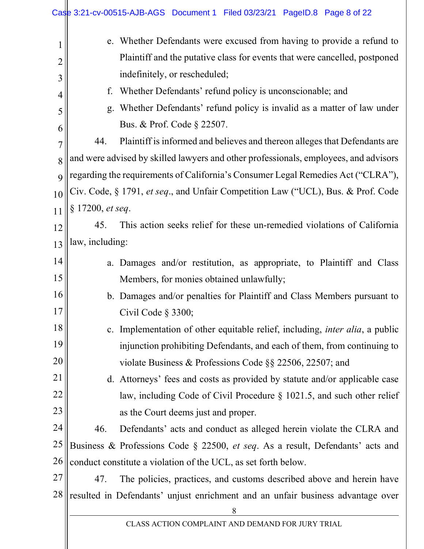|                | Case 3:21-cv-00515-AJB-AGS Document 1 Filed 03/23/21 PageID.8 Page 8 of 22                                        |
|----------------|-------------------------------------------------------------------------------------------------------------------|
| $\mathbf 1$    | e. Whether Defendants were excused from having to provide a refund to                                             |
| $\overline{2}$ | Plaintiff and the putative class for events that were cancelled, postponed<br>indefinitely, or rescheduled;       |
| 3              | Whether Defendants' refund policy is unconscionable; and<br>f.                                                    |
| 4              | Whether Defendants' refund policy is invalid as a matter of law under                                             |
| 5              | g.<br>Bus. & Prof. Code § 22507.                                                                                  |
| 6              | Plaintiff is informed and believes and thereon alleges that Defendants are<br>44.                                 |
| 7              | and were advised by skilled lawyers and other professionals, employees, and advisors                              |
| 8              | regarding the requirements of California's Consumer Legal Remedies Act ("CLRA"),                                  |
| 9              | Civ. Code, § 1791, et seq., and Unfair Competition Law ("UCL), Bus. & Prof. Code                                  |
| 10<br>11       | § 17200, et seq.                                                                                                  |
| 12             | This action seeks relief for these un-remedied violations of California<br>45.                                    |
| 13             | law, including:                                                                                                   |
| 14             |                                                                                                                   |
| 15             | a. Damages and/or restitution, as appropriate, to Plaintiff and Class<br>Members, for monies obtained unlawfully; |
| 16             | b. Damages and/or penalties for Plaintiff and Class Members pursuant to                                           |
| 17             | Civil Code $\S$ 3300;                                                                                             |
| 18             | c. Implementation of other equitable relief, including, <i>inter alia</i> , a public                              |
| 19             | injunction prohibiting Defendants, and each of them, from continuing to                                           |
| 20             | violate Business & Professions Code $\S$ § 22506, 22507; and                                                      |
| 21             | d. Attorneys' fees and costs as provided by statute and/or applicable case                                        |
| 22             | law, including Code of Civil Procedure $\S$ 1021.5, and such other relief                                         |
| 23             | as the Court deems just and proper.                                                                               |
| 24             | 46.<br>Defendants' acts and conduct as alleged herein violate the CLRA and                                        |
| 25             | Business & Professions Code § 22500, et seq. As a result, Defendants' acts and                                    |
| 26             | conduct constitute a violation of the UCL, as set forth below.                                                    |
| 27             | The policies, practices, and customs described above and herein have<br>47.                                       |
| 28             | resulted in Defendants' unjust enrichment and an unfair business advantage over<br>8                              |
|                | CLASS ACTION COMPLAINT AND DEMAND FOR JURY TRIAL                                                                  |

 $\parallel$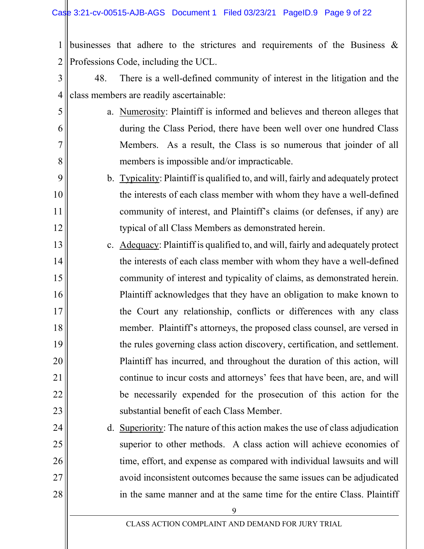5

6

7

8

9

10

11

12

25

27

28

1 2 businesses that adhere to the strictures and requirements of the Business & Professions Code, including the UCL.

- 3 4 48. There is a well-defined community of interest in the litigation and the class members are readily ascertainable:
	- a. Numerosity: Plaintiff is informed and believes and thereon alleges that during the Class Period, there have been well over one hundred Class Members. As a result, the Class is so numerous that joinder of all members is impossible and/or impracticable.
	- b. Typicality: Plaintiff is qualified to, and will, fairly and adequately protect the interests of each class member with whom they have a well-defined community of interest, and Plaintiff's claims (or defenses, if any) are typical of all Class Members as demonstrated herein.
- 13 14 15 16 17 18 19 20 21 22 23 c. Adequacy: Plaintiff is qualified to, and will, fairly and adequately protect the interests of each class member with whom they have a well-defined community of interest and typicality of claims, as demonstrated herein. Plaintiff acknowledges that they have an obligation to make known to the Court any relationship, conflicts or differences with any class member. Plaintiff's attorneys, the proposed class counsel, are versed in the rules governing class action discovery, certification, and settlement. Plaintiff has incurred, and throughout the duration of this action, will continue to incur costs and attorneys' fees that have been, are, and will be necessarily expended for the prosecution of this action for the substantial benefit of each Class Member.
- 24 26 d. Superiority: The nature of this action makes the use of class adjudication superior to other methods. A class action will achieve economies of time, effort, and expense as compared with individual lawsuits and will avoid inconsistent outcomes because the same issues can be adjudicated in the same manner and at the same time for the entire Class. Plaintiff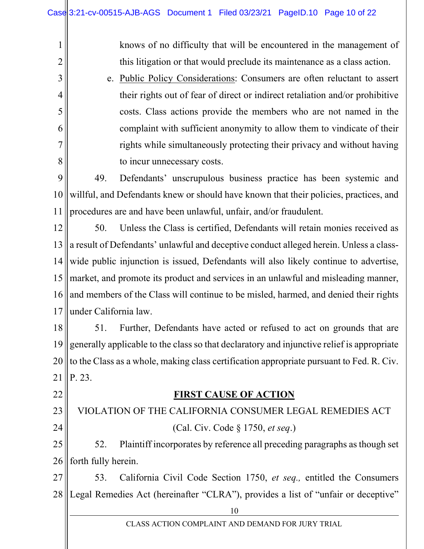knows of no difficulty that will be encountered in the management of this litigation or that would preclude its maintenance as a class action.

e. Public Policy Considerations: Consumers are often reluctant to assert their rights out of fear of direct or indirect retaliation and/or prohibitive costs. Class actions provide the members who are not named in the complaint with sufficient anonymity to allow them to vindicate of their rights while simultaneously protecting their privacy and without having to incur unnecessary costs.

9 10 11 49. Defendants' unscrupulous business practice has been systemic and willful, and Defendants knew or should have known that their policies, practices, and procedures are and have been unlawful, unfair, and/or fraudulent.

12 13 14 15 16 17 50. Unless the Class is certified, Defendants will retain monies received as a result of Defendants' unlawful and deceptive conduct alleged herein. Unless a classwide public injunction is issued, Defendants will also likely continue to advertise, market, and promote its product and services in an unlawful and misleading manner, and members of the Class will continue to be misled, harmed, and denied their rights under California law.

18 19 20 21 51. Further, Defendants have acted or refused to act on grounds that are generally applicable to the class so that declaratory and injunctive relief is appropriate to the Class as a whole, making class certification appropriate pursuant to Fed. R. Civ. P. 23.

22

1

2

3

4

5

6

7

8

### FIRST CAUSE OF ACTION

23 24 VIOLATION OF THE CALIFORNIA CONSUMER LEGAL REMEDIES ACT (Cal. Civ. Code § 1750, et seq.)

25 26 52. Plaintiff incorporates by reference all preceding paragraphs as though set forth fully herein.

27 28 53. California Civil Code Section 1750, et seq., entitled the Consumers Legal Remedies Act (hereinafter "CLRA"), provides a list of "unfair or deceptive"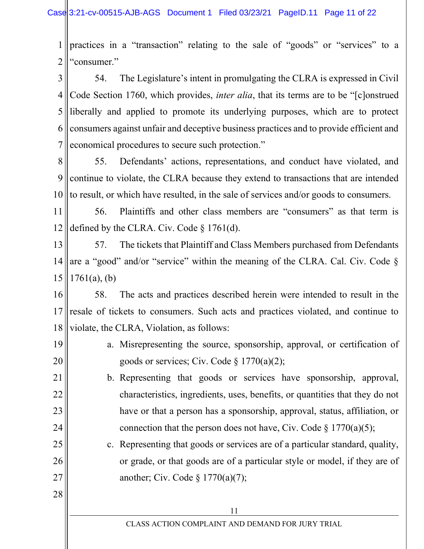1 2 practices in a "transaction" relating to the sale of "goods" or "services" to a "consumer."

3 4 5 6 7 54. The Legislature's intent in promulgating the CLRA is expressed in Civil Code Section 1760, which provides, inter alia, that its terms are to be "[c]onstrued liberally and applied to promote its underlying purposes, which are to protect consumers against unfair and deceptive business practices and to provide efficient and economical procedures to secure such protection."

8 9 10 55. Defendants' actions, representations, and conduct have violated, and continue to violate, the CLRA because they extend to transactions that are intended to result, or which have resulted, in the sale of services and/or goods to consumers.

11 12 56. Plaintiffs and other class members are "consumers" as that term is defined by the CLRA. Civ. Code § 1761(d).

13 14 15 57. The tickets that Plaintiff and Class Members purchased from Defendants are a "good" and/or "service" within the meaning of the CLRA. Cal. Civ. Code §  $1761(a)$ , (b)

16 17 18 58. The acts and practices described herein were intended to result in the resale of tickets to consumers. Such acts and practices violated, and continue to violate, the CLRA, Violation, as follows:

19 20 a. Misrepresenting the source, sponsorship, approval, or certification of goods or services; Civ. Code  $\S 1770(a)(2)$ ;

21 22 23 24 b. Representing that goods or services have sponsorship, approval, characteristics, ingredients, uses, benefits, or quantities that they do not have or that a person has a sponsorship, approval, status, affiliation, or connection that the person does not have, Civ. Code  $\S 1770(a)(5)$ ;

25 26 27 c. Representing that goods or services are of a particular standard, quality, or grade, or that goods are of a particular style or model, if they are of another; Civ. Code  $\S 1770(a)(7)$ ;

11

28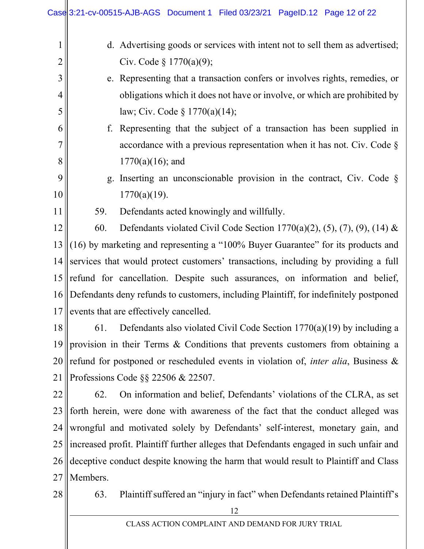|                | Case 3:21-cv-00515-AJB-AGS Document 1 Filed 03/23/21 PageID.12 Page 12 of 22               |
|----------------|--------------------------------------------------------------------------------------------|
| $\mathbf 1$    | d. Advertising goods or services with intent not to sell them as advertised;               |
| $\overline{2}$ | Civ. Code $\S 1770(a)(9)$ ;                                                                |
| 3              | e. Representing that a transaction confers or involves rights, remedies, or                |
| 4              | obligations which it does not have or involve, or which are prohibited by                  |
| 5              | law; Civ. Code $\S 1770(a)(14)$ ;                                                          |
| 6              | f. Representing that the subject of a transaction has been supplied in                     |
| 7              | accordance with a previous representation when it has not. Civ. Code $\S$                  |
| 8              | $1770(a)(16)$ ; and                                                                        |
| 9              | g. Inserting an unconscionable provision in the contract, Civ. Code $\S$                   |
| 10             | $1770(a)(19)$ .                                                                            |
| 11             | Defendants acted knowingly and willfully.<br>59.                                           |
| 12             | 60.<br>Defendants violated Civil Code Section 1770(a)(2), (5), (7), (9), (14) &            |
| 13             | (16) by marketing and representing a "100% Buyer Guarantee" for its products and           |
| 14             | services that would protect customers' transactions, including by providing a full         |
| 15             | refund for cancellation. Despite such assurances, on information and belief,               |
| 16             | Defendants deny refunds to customers, including Plaintiff, for indefinitely postponed      |
| 17             | events that are effectively cancelled.                                                     |
| 18             | Defendants also violated Civil Code Section $1770(a)(19)$ by including a<br>61.            |
| 19             | provision in their Terms & Conditions that prevents customers from obtaining a             |
| 20             | refund for postponed or rescheduled events in violation of, <i>inter alia</i> , Business & |
| 21             | Professions Code §§ 22506 & 22507.                                                         |
| 22             | On information and belief, Defendants' violations of the CLRA, as set<br>62.               |
| 23             | forth herein, were done with awareness of the fact that the conduct alleged was            |
| 24             | wrongful and motivated solely by Defendants' self-interest, monetary gain, and             |
| 25             | increased profit. Plaintiff further alleges that Defendants engaged in such unfair and     |
| 26             | deceptive conduct despite knowing the harm that would result to Plaintiff and Class        |
| 27             | Members.                                                                                   |
| 28             | Plaintiff suffered an "injury in fact" when Defendants retained Plaintiff's<br>63.         |
|                | 12                                                                                         |

CLASS ACTION COMPLAINT AND DEMAND FOR JURY TRIAL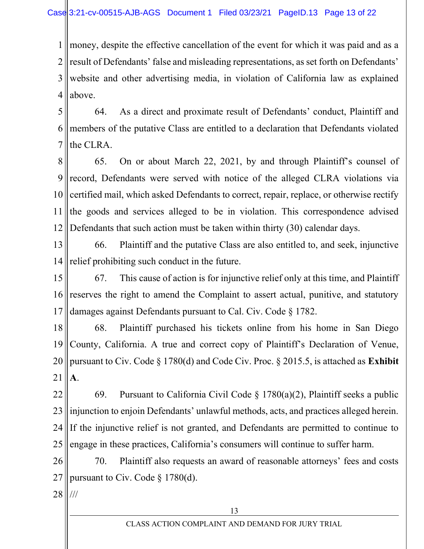1 2 3 4 money, despite the effective cancellation of the event for which it was paid and as a result of Defendants' false and misleading representations, as set forth on Defendants' website and other advertising media, in violation of California law as explained above.

5 6 7 64. As a direct and proximate result of Defendants' conduct, Plaintiff and members of the putative Class are entitled to a declaration that Defendants violated the CLRA.

8 9 10 11 12 65. On or about March 22, 2021, by and through Plaintiff's counsel of record, Defendants were served with notice of the alleged CLRA violations via certified mail, which asked Defendants to correct, repair, replace, or otherwise rectify the goods and services alleged to be in violation. This correspondence advised Defendants that such action must be taken within thirty (30) calendar days.

13 14 66. Plaintiff and the putative Class are also entitled to, and seek, injunctive relief prohibiting such conduct in the future.

15 16 17 67. This cause of action is for injunctive relief only at this time, and Plaintiff reserves the right to amend the Complaint to assert actual, punitive, and statutory damages against Defendants pursuant to Cal. Civ. Code § 1782.

18 19 20 21 68. Plaintiff purchased his tickets online from his home in San Diego County, California. A true and correct copy of Plaintiff's Declaration of Venue, pursuant to Civ. Code  $\S 1780(d)$  and Code Civ. Proc.  $\S 2015.5$ , is attached as **Exhibit** A.

22 23 24 25 69. Pursuant to California Civil Code  $\S$  1780(a)(2), Plaintiff seeks a public injunction to enjoin Defendants' unlawful methods, acts, and practices alleged herein. If the injunctive relief is not granted, and Defendants are permitted to continue to engage in these practices, California's consumers will continue to suffer harm.

26 27 70. Plaintiff also requests an award of reasonable attorneys' fees and costs pursuant to Civ. Code § 1780(d).

28 ///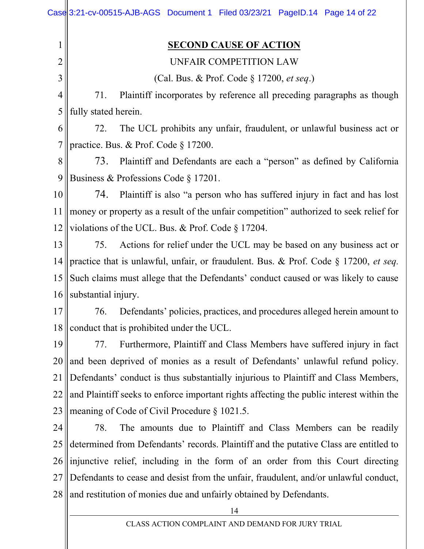|                | Case 3:21-cv-00515-AJB-AGS Document 1 Filed 03/23/21 PageID.14 Page 14 of 22             |
|----------------|------------------------------------------------------------------------------------------|
| 1              | <b>SECOND CAUSE OF ACTION</b>                                                            |
| $\overline{c}$ | UNFAIR COMPETITION LAW                                                                   |
| 3              | (Cal. Bus. & Prof. Code § 17200, et seq.)                                                |
| 4              | 71.<br>Plaintiff incorporates by reference all preceding paragraphs as though            |
| 5              | fully stated herein.                                                                     |
| 6              | 72.<br>The UCL prohibits any unfair, fraudulent, or unlawful business act or             |
| 7              | practice. Bus. & Prof. Code § 17200.                                                     |
| 8              | 73.<br>Plaintiff and Defendants are each a "person" as defined by California             |
| 9              | Business & Professions Code § 17201.                                                     |
| 10             | Plaintiff is also "a person who has suffered injury in fact and has lost<br>74.          |
| 11             | money or property as a result of the unfair competition" authorized to seek relief for   |
| 12             | violations of the UCL. Bus. & Prof. Code $\S 17204$ .                                    |
| 13             | Actions for relief under the UCL may be based on any business act or<br>75.              |
| 14             | practice that is unlawful, unfair, or fraudulent. Bus. & Prof. Code § 17200, et seq.     |
| 15             | Such claims must allege that the Defendants' conduct caused or was likely to cause       |
| 16             | substantial injury.                                                                      |
| 17             | Defendants' policies, practices, and procedures alleged herein amount to<br>76.          |
| 18             | conduct that is prohibited under the UCL.                                                |
| 19             | Furthermore, Plaintiff and Class Members have suffered injury in fact<br>77.             |
| 20             | and been deprived of monies as a result of Defendants' unlawful refund policy.           |
| 21             | Defendants' conduct is thus substantially injurious to Plaintiff and Class Members,      |
| 22             | and Plaintiff seeks to enforce important rights affecting the public interest within the |
| 23             | meaning of Code of Civil Procedure § 1021.5.                                             |
| 24             | The amounts due to Plaintiff and Class Members can be readily<br>78.                     |
| 25             | determined from Defendants' records. Plaintiff and the putative Class are entitled to    |
| 26             | injunctive relief, including in the form of an order from this Court directing           |
| 27             | Defendants to cease and desist from the unfair, fraudulent, and/or unlawful conduct,     |
| 28             | and restitution of monies due and unfairly obtained by Defendants.                       |
|                | 14                                                                                       |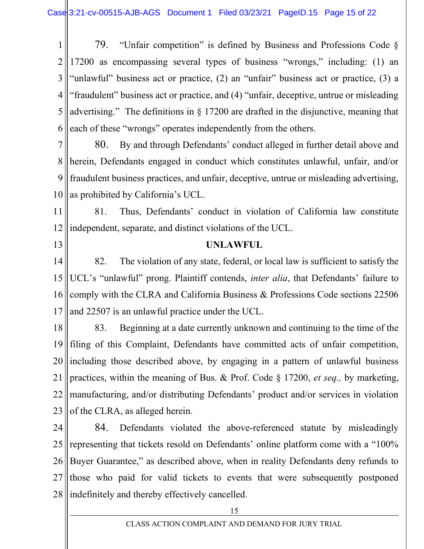1 2 3 4 5 6 79. "Unfair competition" is defined by Business and Professions Code § 17200 as encompassing several types of business "wrongs," including: (1) an "unlawful" business act or practice, (2) an "unfair" business act or practice, (3) a "fraudulent" business act or practice, and (4) "unfair, deceptive, untrue or misleading advertising." The definitions in § 17200 are drafted in the disjunctive, meaning that each of these "wrongs" operates independently from the others.

7 8 9 10 80. By and through Defendants' conduct alleged in further detail above and herein, Defendants engaged in conduct which constitutes unlawful, unfair, and/or fraudulent business practices, and unfair, deceptive, untrue or misleading advertising, as prohibited by California's UCL.

11 12 81. Thus, Defendants' conduct in violation of California law constitute independent, separate, and distinct violations of the UCL.

13

#### UNLAWFUL

14 15 16 17 82. The violation of any state, federal, or local law is sufficient to satisfy the UCL's "unlawful" prong. Plaintiff contends, *inter alia*, that Defendants' failure to comply with the CLRA and California Business & Professions Code sections 22506 and 22507 is an unlawful practice under the UCL.

18 19 20 21 22 23 83. Beginning at a date currently unknown and continuing to the time of the filing of this Complaint, Defendants have committed acts of unfair competition, including those described above, by engaging in a pattern of unlawful business practices, within the meaning of Bus. & Prof. Code § 17200, et seq., by marketing, manufacturing, and/or distributing Defendants' product and/or services in violation of the CLRA, as alleged herein.

24 25 26 27 28 84. Defendants violated the above-referenced statute by misleadingly representing that tickets resold on Defendants' online platform come with a "100% Buyer Guarantee," as described above, when in reality Defendants deny refunds to those who paid for valid tickets to events that were subsequently postponed indefinitely and thereby effectively cancelled.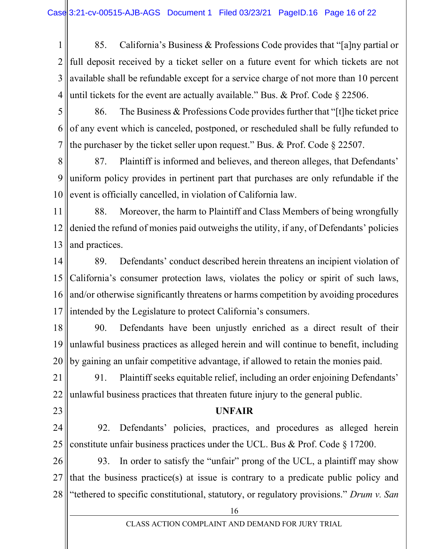1 2 3 4 85. California's Business & Professions Code provides that "[a]ny partial or full deposit received by a ticket seller on a future event for which tickets are not available shall be refundable except for a service charge of not more than 10 percent until tickets for the event are actually available." Bus. & Prof. Code § 22506.

5 6 7 86. The Business & Professions Code provides further that "[t]he ticket price of any event which is canceled, postponed, or rescheduled shall be fully refunded to the purchaser by the ticket seller upon request." Bus. & Prof. Code § 22507.

8 9 10 87. Plaintiff is informed and believes, and thereon alleges, that Defendants' uniform policy provides in pertinent part that purchases are only refundable if the event is officially cancelled, in violation of California law.

11 12 13 88. Moreover, the harm to Plaintiff and Class Members of being wrongfully denied the refund of monies paid outweighs the utility, if any, of Defendants' policies and practices.

- 14 15 16 17 89. Defendants' conduct described herein threatens an incipient violation of California's consumer protection laws, violates the policy or spirit of such laws, and/or otherwise significantly threatens or harms competition by avoiding procedures intended by the Legislature to protect California's consumers.
- 18 19 20 90. Defendants have been unjustly enriched as a direct result of their unlawful business practices as alleged herein and will continue to benefit, including by gaining an unfair competitive advantage, if allowed to retain the monies paid.

21 22 91. Plaintiff seeks equitable relief, including an order enjoining Defendants' unlawful business practices that threaten future injury to the general public.

23

#### UNFAIR

24 25 92. Defendants' policies, practices, and procedures as alleged herein constitute unfair business practices under the UCL. Bus & Prof. Code § 17200.

26 27 28 93. In order to satisfy the "unfair" prong of the UCL, a plaintiff may show that the business practice(s) at issue is contrary to a predicate public policy and "tethered to specific constitutional, statutory, or regulatory provisions." Drum v. San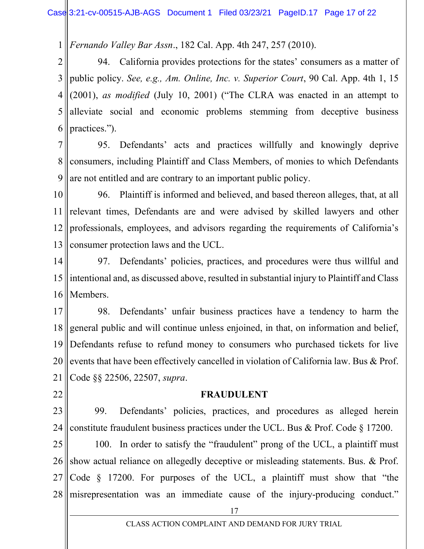1 Fernando Valley Bar Assn., 182 Cal. App. 4th 247, 257 (2010).

2 3 4 5 6 94. California provides protections for the states' consumers as a matter of public policy. See, e.g., Am. Online, Inc. v. Superior Court, 90 Cal. App. 4th 1, 15 (2001), as modified (July 10, 2001) ("The CLRA was enacted in an attempt to alleviate social and economic problems stemming from deceptive business practices.").

7 8 9 95. Defendants' acts and practices willfully and knowingly deprive consumers, including Plaintiff and Class Members, of monies to which Defendants are not entitled and are contrary to an important public policy.

10 11 12 13 96. Plaintiff is informed and believed, and based thereon alleges, that, at all relevant times, Defendants are and were advised by skilled lawyers and other professionals, employees, and advisors regarding the requirements of California's consumer protection laws and the UCL.

14 15 16 97. Defendants' policies, practices, and procedures were thus willful and intentional and, as discussed above, resulted in substantial injury to Plaintiff and Class Members.

17 18 19 20 21 98. Defendants' unfair business practices have a tendency to harm the general public and will continue unless enjoined, in that, on information and belief, Defendants refuse to refund money to consumers who purchased tickets for live events that have been effectively cancelled in violation of California law. Bus & Prof. Code §§ 22506, 22507, supra.

22

#### FRAUDULENT

23 24 99. Defendants' policies, practices, and procedures as alleged herein constitute fraudulent business practices under the UCL. Bus & Prof. Code § 17200.

25 26 27 28 100. In order to satisfy the "fraudulent" prong of the UCL, a plaintiff must show actual reliance on allegedly deceptive or misleading statements. Bus. & Prof. Code § 17200. For purposes of the UCL, a plaintiff must show that "the misrepresentation was an immediate cause of the injury-producing conduct."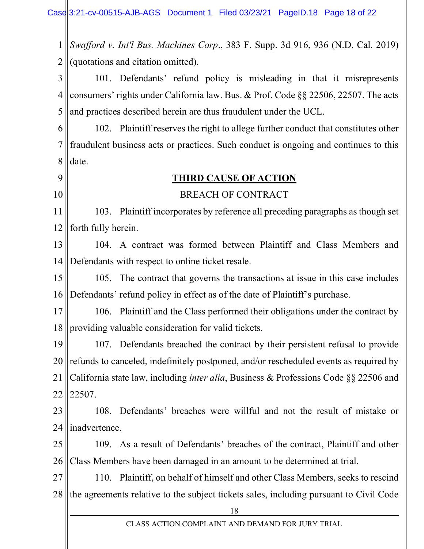1 2 Swafford v. Int'l Bus. Machines Corp., 383 F. Supp. 3d 916, 936 (N.D. Cal. 2019) (quotations and citation omitted).

3 4 5 101. Defendants' refund policy is misleading in that it misrepresents consumers' rights under California law. Bus. & Prof. Code §§ 22506, 22507. The acts and practices described herein are thus fraudulent under the UCL.

6 7 8 102. Plaintiff reserves the right to allege further conduct that constitutes other fraudulent business acts or practices. Such conduct is ongoing and continues to this date.

9 10

### THIRD CAUSE OF ACTION

### BREACH OF CONTRACT

11 12 103. Plaintiff incorporates by reference all preceding paragraphs as though set forth fully herein.

13 14 104. A contract was formed between Plaintiff and Class Members and Defendants with respect to online ticket resale.

15 16 105. The contract that governs the transactions at issue in this case includes Defendants' refund policy in effect as of the date of Plaintiff's purchase.

17 18 106. Plaintiff and the Class performed their obligations under the contract by providing valuable consideration for valid tickets.

19 20 21 22 107. Defendants breached the contract by their persistent refusal to provide refunds to canceled, indefinitely postponed, and/or rescheduled events as required by California state law, including inter alia, Business & Professions Code §§ 22506 and 22507.

23 24 108. Defendants' breaches were willful and not the result of mistake or inadvertence.

25 26 109. As a result of Defendants' breaches of the contract, Plaintiff and other Class Members have been damaged in an amount to be determined at trial.

27 28 110. Plaintiff, on behalf of himself and other Class Members, seeks to rescind the agreements relative to the subject tickets sales, including pursuant to Civil Code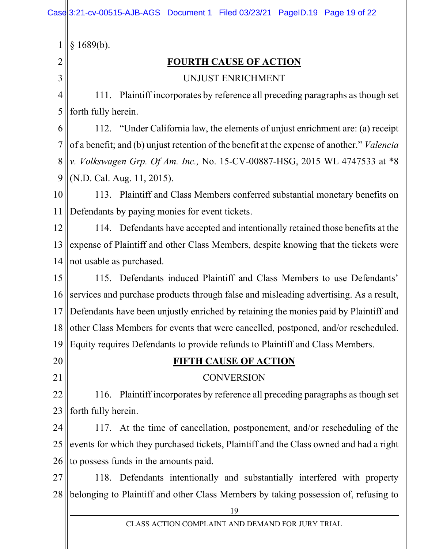|    | 1689(b).                                                                                          |
|----|---------------------------------------------------------------------------------------------------|
| 2  | <b>FOURTH CAUSE OF ACTION</b>                                                                     |
| 3  | UNJUST ENRICHMENT                                                                                 |
| 4  | 111. Plaintiff incorporates by reference all preceding paragraphs as though set                   |
| 5  | forth fully herein.                                                                               |
| 6  | 112. "Under California law, the elements of unjust enrichment are: (a) receipt                    |
| 7  | of a benefit; and (b) unjust retention of the benefit at the expense of another." <i>Valencia</i> |
| 8  | v. Volkswagen Grp. Of Am. Inc., No. 15-CV-00887-HSG, 2015 WL 4747533 at *8                        |
| 9  | (N.D. Cal. Aug. 11, 2015).                                                                        |
| 10 | 113. Plaintiff and Class Members conferred substantial monetary benefits on                       |
| 11 | Defendants by paying monies for event tickets.                                                    |
| 12 | 114. Defendants have accepted and intentionally retained those benefits at the                    |
| 13 | expense of Plaintiff and other Class Members, despite knowing that the tickets were               |
| 14 | not usable as purchased.                                                                          |
| 15 | 115. Defendants induced Plaintiff and Class Members to use Defendants'                            |
| 16 | services and purchase products through false and misleading advertising. As a result,             |
| 17 | Defendants have been unjustly enriched by retaining the monies paid by Plaintiff and              |
| 18 | other Class Members for events that were cancelled, postponed, and/or rescheduled.                |
| 19 | Equity requires Defendants to provide refunds to Plaintiff and Class Members.                     |
| 20 | <b>FIFTH CAUSE OF ACTION</b>                                                                      |
| 21 | <b>CONVERSION</b>                                                                                 |
| 22 | 116. Plaintiff incorporates by reference all preceding paragraphs as though set                   |
| 23 | forth fully herein.                                                                               |
| 24 | 117. At the time of cancellation, postponement, and/or rescheduling of the                        |
| 25 | events for which they purchased tickets, Plaintiff and the Class owned and had a right            |
| 26 | to possess funds in the amounts paid.                                                             |
| 27 | 118. Defendants intentionally and substantially interfered with property                          |
| 28 | belonging to Plaintiff and other Class Members by taking possession of, refusing to               |
|    | 19                                                                                                |
|    | CLASS ACTION COMPLAINT AND DEMAND FOR JURY TRIAL                                                  |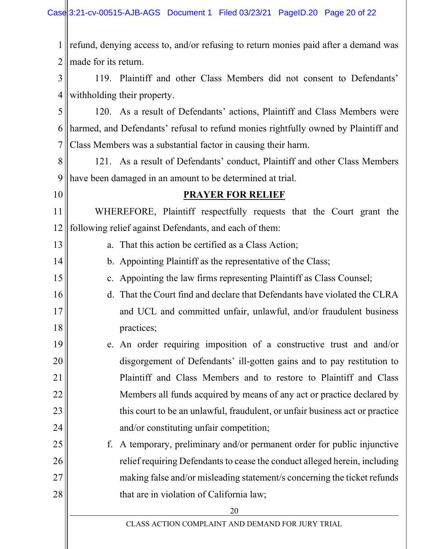| $\mathbf{1}$   | refund, denying access to, and/or refusing to return monies paid after a demand was |
|----------------|-------------------------------------------------------------------------------------|
| $\overline{2}$ | made for its return.                                                                |
| $\overline{3}$ | 119. Plaintiff and other Class Members did not consent to Defendants'               |
| 4              | withholding their property.                                                         |
| 5              | 120. As a result of Defendants' actions, Plaintiff and Class Members were           |
| 6              | harmed, and Defendants' refusal to refund monies rightfully owned by Plaintiff and  |
| $\overline{7}$ | Class Members was a substantial factor in causing their harm.                       |
| 8              | 121. As a result of Defendants' conduct, Plaintiff and other Class Members          |
| 9              | have been damaged in an amount to be determined at trial.                           |
| 10             | <b>PRAYER FOR RELIEF</b>                                                            |
| 11             | WHEREFORE, Plaintiff respectfully requests that the Court grant the                 |
| 12             | following relief against Defendants, and each of them:                              |
| 13             | a. That this action be certified as a Class Action;                                 |
| 14             | b. Appointing Plaintiff as the representative of the Class;                         |
| 15             | c. Appointing the law firms representing Plaintiff as Class Counsel;                |
| 16             | d. That the Court find and declare that Defendants have violated the CLRA           |
| 17             | and UCL and committed unfair, unlawful, and/or fraudulent business                  |
| 18             | practices;                                                                          |
| 19             | e. An order requiring imposition of a constructive trust and and/or                 |
| 20             | disgorgement of Defendants' ill-gotten gains and to pay restitution to              |
| 21             | Plaintiff and Class Members and to restore to Plaintiff and Class                   |
| 22             | Members all funds acquired by means of any act or practice declared by              |
| 23             | this court to be an unlawful, fraudulent, or unfair business act or practice        |
| 24             | and/or constituting unfair competition;                                             |
| 25             | A temporary, preliminary and/or permanent order for public injunctive<br>f.         |
| 26             | relief requiring Defendants to cease the conduct alleged herein, including          |
| 27             | making false and/or misleading statement/s concerning the ticket refunds            |
| 28             | that are in violation of California law;                                            |
|                | 20                                                                                  |
|                | CLASS ACTION COMPLAINT AND DEMAND FOR JURY TRIAL                                    |

 $\parallel$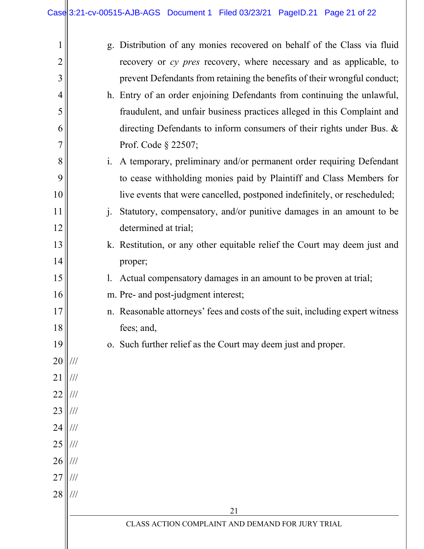|    |                         |                | g. Distribution of any monies recovered on behalf of the Class via fluid      |
|----|-------------------------|----------------|-------------------------------------------------------------------------------|
| 2  |                         |                | recovery or cy pres recovery, where necessary and as applicable, to           |
| 3  |                         |                | prevent Defendants from retaining the benefits of their wrongful conduct;     |
| 4  |                         |                | h. Entry of an order enjoining Defendants from continuing the unlawful,       |
| 5  |                         |                | fraudulent, and unfair business practices alleged in this Complaint and       |
| 6  |                         |                | directing Defendants to inform consumers of their rights under Bus. &         |
| 7  |                         |                | Prof. Code § 22507;                                                           |
| 8  |                         | $\mathbf{i}$ . | A temporary, preliminary and/or permanent order requiring Defendant           |
| 9  |                         |                | to cease withholding monies paid by Plaintiff and Class Members for           |
| 10 |                         |                | live events that were cancelled, postponed indefinitely, or rescheduled;      |
| 11 |                         | $\mathbf{i}$ . | Statutory, compensatory, and/or punitive damages in an amount to be           |
| 12 |                         |                | determined at trial;                                                          |
| 13 |                         |                | k. Restitution, or any other equitable relief the Court may deem just and     |
| 14 |                         |                | proper;                                                                       |
| 15 |                         | 1.             | Actual compensatory damages in an amount to be proven at trial;               |
| 16 |                         |                | m. Pre- and post-judgment interest;                                           |
| 17 |                         |                | n. Reasonable attorneys' fees and costs of the suit, including expert witness |
| 18 |                         |                | fees; and,                                                                    |
| 19 |                         |                | o. Such further relief as the Court may deem just and proper.                 |
| 20 | ///                     |                |                                                                               |
| 21 | ///                     |                |                                                                               |
| 22 | ///                     |                |                                                                               |
| 23 | ///                     |                |                                                                               |
| 24 |                         |                |                                                                               |
| 25 |                         |                |                                                                               |
| 26 |                         |                |                                                                               |
| 27 |                         |                |                                                                               |
| 28 | $^{\prime\prime\prime}$ |                |                                                                               |
|    |                         |                | 21                                                                            |
|    |                         |                | CLASS ACTION COMPLAINT AND DEMAND FOR JURY TRIAL                              |
|    |                         |                |                                                                               |